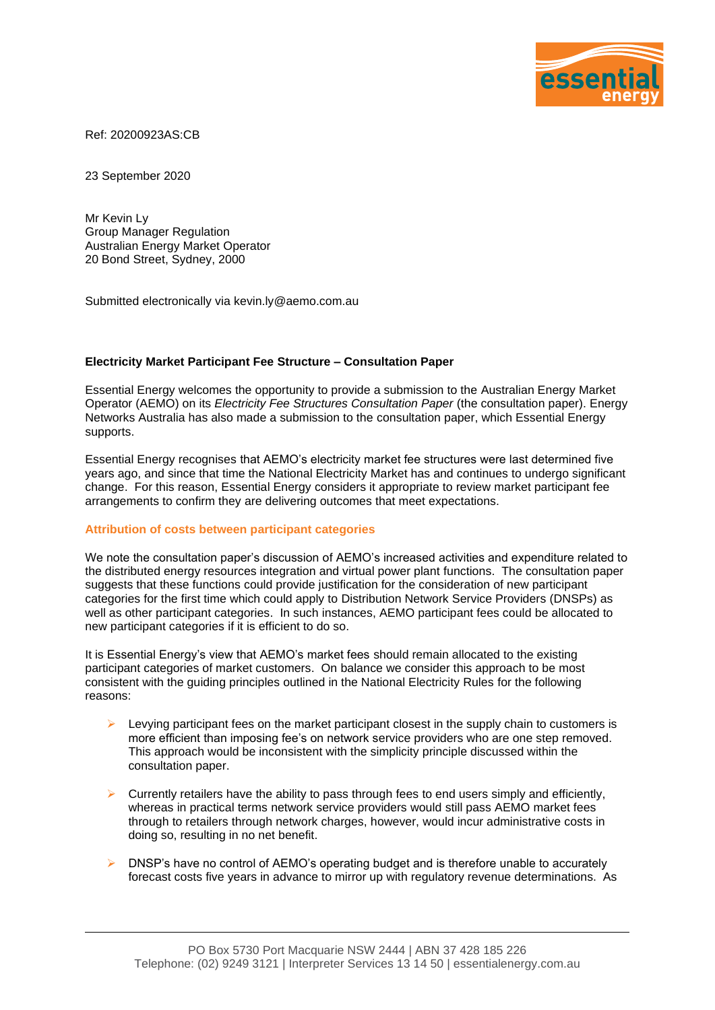

Ref: 20200923AS:CB

23 September 2020

Mr Kevin Ly Group Manager Regulation Australian Energy Market Operator 20 Bond Street, Sydney, 2000

Submitted electronically via kevin.ly@aemo.com.au

## **Electricity Market Participant Fee Structure – Consultation Paper**

Essential Energy welcomes the opportunity to provide a submission to the Australian Energy Market Operator (AEMO) on its *Electricity Fee Structures Consultation Paper* (the consultation paper). Energy Networks Australia has also made a submission to the consultation paper, which Essential Energy supports.

Essential Energy recognises that AEMO's electricity market fee structures were last determined five years ago, and since that time the National Electricity Market has and continues to undergo significant change. For this reason, Essential Energy considers it appropriate to review market participant fee arrangements to confirm they are delivering outcomes that meet expectations.

## **Attribution of costs between participant categories**

We note the consultation paper's discussion of AEMO's increased activities and expenditure related to the distributed energy resources integration and virtual power plant functions. The consultation paper suggests that these functions could provide justification for the consideration of new participant categories for the first time which could apply to Distribution Network Service Providers (DNSPs) as well as other participant categories. In such instances, AEMO participant fees could be allocated to new participant categories if it is efficient to do so.

It is Essential Energy's view that AEMO's market fees should remain allocated to the existing participant categories of market customers. On balance we consider this approach to be most consistent with the guiding principles outlined in the National Electricity Rules for the following reasons:

- ➢ Levying participant fees on the market participant closest in the supply chain to customers is more efficient than imposing fee's on network service providers who are one step removed. This approach would be inconsistent with the simplicity principle discussed within the consultation paper.
- ➢ Currently retailers have the ability to pass through fees to end users simply and efficiently, whereas in practical terms network service providers would still pass AEMO market fees through to retailers through network charges, however, would incur administrative costs in doing so, resulting in no net benefit.
- $\triangleright$  DNSP's have no control of AEMO's operating budget and is therefore unable to accurately forecast costs five years in advance to mirror up with regulatory revenue determinations. As